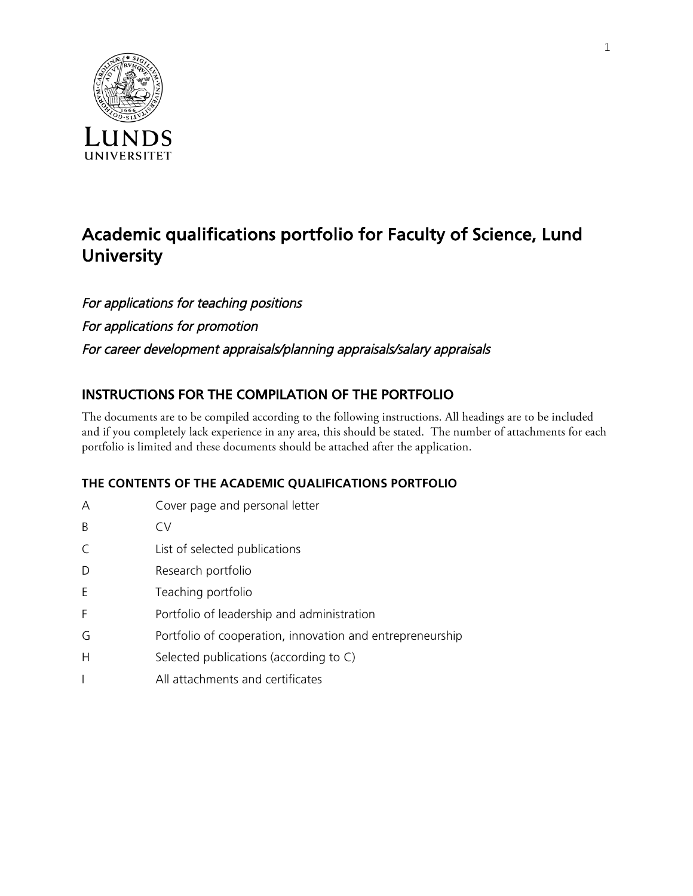

# Academic qualifications portfolio for Faculty of Science, Lund **University**

For applications for teaching positions For applications for promotion For career development appraisals/planning appraisals/salary appraisals

# INSTRUCTIONS FOR THE COMPILATION OF THE PORTFOLIO

The documents are to be compiled according to the following instructions. All headings are to be included and if you completely lack experience in any area, this should be stated. The number of attachments for each portfolio is limited and these documents should be attached after the application.

# **THE CONTENTS OF THE ACADEMIC QUALIFICATIONS PORTFOLIO**

| A            | Cover page and personal letter                            |
|--------------|-----------------------------------------------------------|
| B            | CV                                                        |
| C            | List of selected publications                             |
| D            | Research portfolio                                        |
| F            | Teaching portfolio                                        |
| F            | Portfolio of leadership and administration                |
| G            | Portfolio of cooperation, innovation and entrepreneurship |
| H            | Selected publications (according to C)                    |
| $\mathbf{I}$ | All attachments and certificates                          |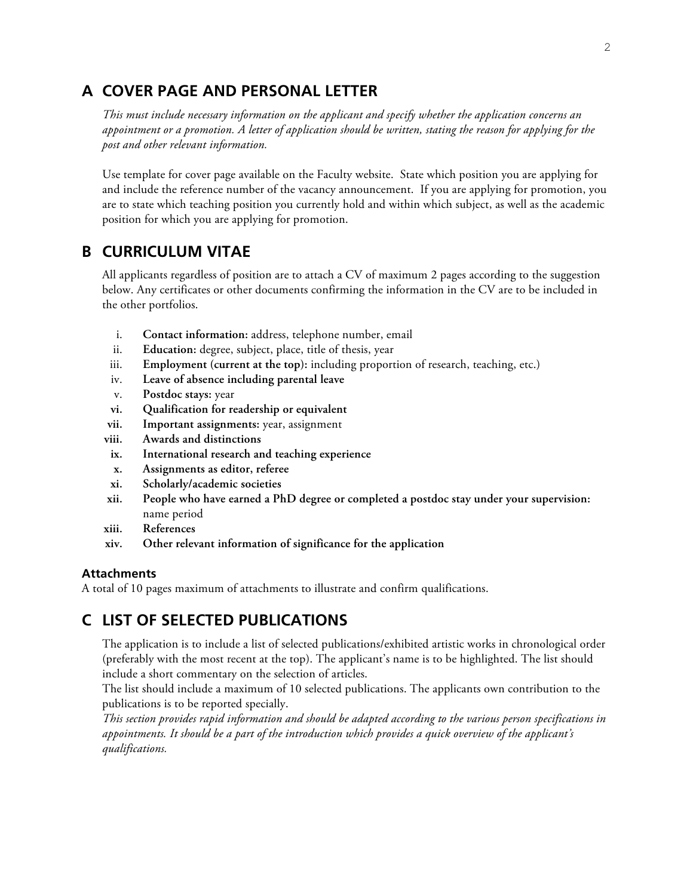# **A COVER PAGE AND PERSONAL LETTER**

*This must include necessary information on the applicant and specify whether the application concerns an appointment or a promotion. A letter of application should be written, stating the reason for applying for the post and other relevant information.*

Use template for cover page available on the Faculty website. State which position you are applying for and include the reference number of the vacancy announcement. If you are applying for promotion, you are to state which teaching position you currently hold and within which subject, as well as the academic position for which you are applying for promotion.

# **B CURRICULUM VITAE**

All applicants regardless of position are to attach a CV of maximum 2 pages according to the suggestion below. Any certificates or other documents confirming the information in the CV are to be included in the other portfolios.

- i. **Contact information:** address, telephone number, email
- ii. **Education:** degree, subject, place, title of thesis, year
- iii. **Employment (current at the top):** including proportion of research, teaching, etc.)
- iv. **Leave of absence including parental leave**
- v. **Postdoc stays:** year
- **vi. Qualification for readership or equivalent**
- **vii. Important assignments:** year, assignment
- **viii. Awards and distinctions**
- **ix. International research and teaching experience**
- **x. Assignments as editor, referee**
- **xi. Scholarly/academic societies**
- **xii. People who have earned a PhD degree or completed a postdoc stay under your supervision:**  name period
- **xiii. References**
- **xiv. Other relevant information of significance for the application**

#### **Attachments**

A total of 10 pages maximum of attachments to illustrate and confirm qualifications.

# **C LIST OF SELECTED PUBLICATIONS**

The application is to include a list of selected publications/exhibited artistic works in chronological order (preferably with the most recent at the top). The applicant's name is to be highlighted. The list should include a short commentary on the selection of articles.

The list should include a maximum of 10 selected publications. The applicants own contribution to the publications is to be reported specially.

*This section provides rapid information and should be adapted according to the various person specifications in appointments. It should be a part of the introduction which provides a quick overview of the applicant's qualifications.*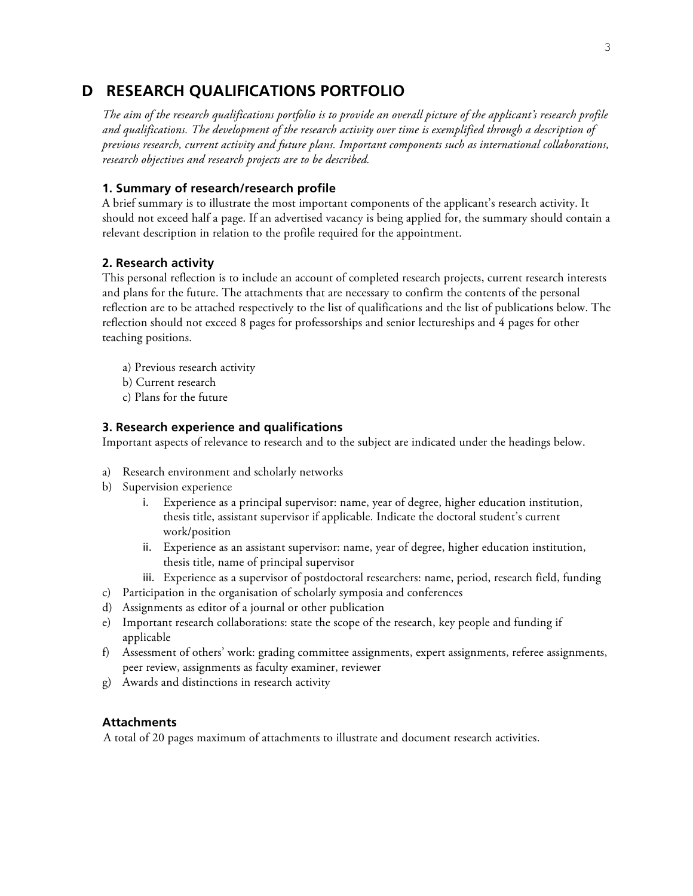# **D RESEARCH QUALIFICATIONS PORTFOLIO**

*The aim of the research qualifications portfolio is to provide an overall picture of the applicant's research profile and qualifications. The development of the research activity over time is exemplified through a description of previous research, current activity and future plans. Important components such as international collaborations, research objectives and research projects are to be described.* 

## **1. Summary of research/research profile**

A brief summary is to illustrate the most important components of the applicant's research activity. It should not exceed half a page. If an advertised vacancy is being applied for, the summary should contain a relevant description in relation to the profile required for the appointment.

## **2. Research activity**

This personal reflection is to include an account of completed research projects, current research interests and plans for the future. The attachments that are necessary to confirm the contents of the personal reflection are to be attached respectively to the list of qualifications and the list of publications below. The reflection should not exceed 8 pages for professorships and senior lectureships and 4 pages for other teaching positions.

- a) Previous research activity
- b) Current research
- c) Plans for the future

### **3. Research experience and qualifications**

Important aspects of relevance to research and to the subject are indicated under the headings below.

- a) Research environment and scholarly networks
- b) Supervision experience
	- i. Experience as a principal supervisor: name, year of degree, higher education institution, thesis title, assistant supervisor if applicable. Indicate the doctoral student's current work/position
	- ii. Experience as an assistant supervisor: name, year of degree, higher education institution, thesis title, name of principal supervisor
	- iii. Experience as a supervisor of postdoctoral researchers: name, period, research field, funding
- c) Participation in the organisation of scholarly symposia and conferences
- d) Assignments as editor of a journal or other publication
- e) Important research collaborations: state the scope of the research, key people and funding if applicable
- f) Assessment of others' work: grading committee assignments, expert assignments, referee assignments, peer review, assignments as faculty examiner, reviewer
- g) Awards and distinctions in research activity

## **Attachments**

A total of 20 pages maximum of attachments to illustrate and document research activities.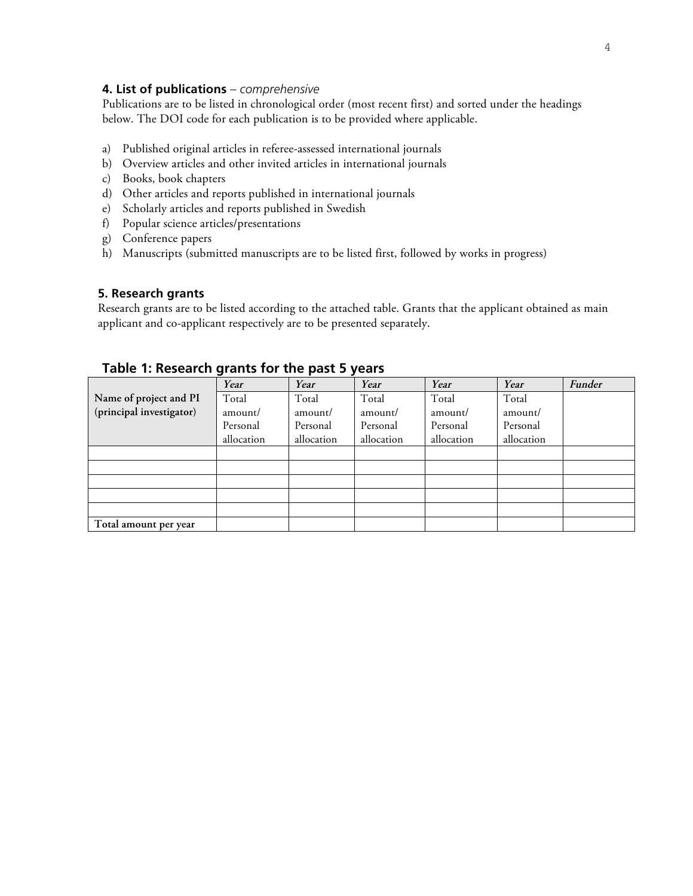## **4. List of publications** *– comprehensive*

Publications are to be listed in chronological order (most recent first) and sorted under the headings below. The DOI code for each publication is to be provided where applicable.

- a) Published original articles in referee-assessed international journals
- b) Overview articles and other invited articles in international journals
- c) Books, book chapters
- d) Other articles and reports published in international journals
- e) Scholarly articles and reports published in Swedish
- f) Popular science articles/presentations
- g) Conference papers
- h) Manuscripts (submitted manuscripts are to be listed first, followed by works in progress)

#### **5. Research grants**

Research grants are to be listed according to the attached table. Grants that the applicant obtained as main applicant and co-applicant respectively are to be presented separately.

# **Table 1: Research grants for the past 5 years**

|                          | Year       | Year       | Year       | Year       | Year       | Funder |
|--------------------------|------------|------------|------------|------------|------------|--------|
| Name of project and PI   | Total      | Total      | Total      | Total      | Total      |        |
| (principal investigator) | amount/    | amount/    | amount/    | amount/    | amount/    |        |
|                          | Personal   | Personal   | Personal   | Personal   | Personal   |        |
|                          | allocation | allocation | allocation | allocation | allocation |        |
|                          |            |            |            |            |            |        |
|                          |            |            |            |            |            |        |
|                          |            |            |            |            |            |        |
|                          |            |            |            |            |            |        |
|                          |            |            |            |            |            |        |
| Total amount per year    |            |            |            |            |            |        |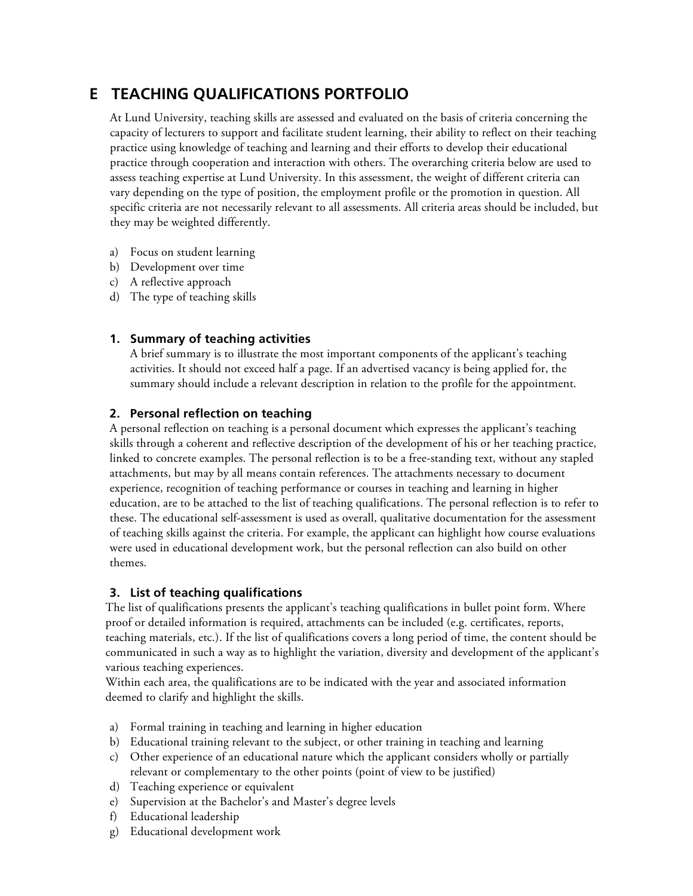# **E TEACHING QUALIFICATIONS PORTFOLIO**

At Lund University, teaching skills are assessed and evaluated on the basis of criteria concerning the capacity of lecturers to support and facilitate student learning, their ability to reflect on their teaching practice using knowledge of teaching and learning and their efforts to develop their educational practice through cooperation and interaction with others. The overarching criteria below are used to assess teaching expertise at Lund University. In this assessment, the weight of different criteria can vary depending on the type of position, the employment profile or the promotion in question. All specific criteria are not necessarily relevant to all assessments. All criteria areas should be included, but they may be weighted differently.

- a) Focus on student learning
- b) Development over time
- c) A reflective approach
- d) The type of teaching skills

# **1. Summary of teaching activities**

A brief summary is to illustrate the most important components of the applicant's teaching activities. It should not exceed half a page. If an advertised vacancy is being applied for, the summary should include a relevant description in relation to the profile for the appointment.

# **2. Personal reflection on teaching**

A personal reflection on teaching is a personal document which expresses the applicant's teaching skills through a coherent and reflective description of the development of his or her teaching practice, linked to concrete examples. The personal reflection is to be a free-standing text, without any stapled attachments, but may by all means contain references. The attachments necessary to document experience, recognition of teaching performance or courses in teaching and learning in higher education, are to be attached to the list of teaching qualifications. The personal reflection is to refer to these. The educational self-assessment is used as overall, qualitative documentation for the assessment of teaching skills against the criteria. For example, the applicant can highlight how course evaluations were used in educational development work, but the personal reflection can also build on other themes.

# **3. List of teaching qualifications**

The list of qualifications presents the applicant's teaching qualifications in bullet point form. Where proof or detailed information is required, attachments can be included (e.g. certificates, reports, teaching materials, etc.). If the list of qualifications covers a long period of time, the content should be communicated in such a way as to highlight the variation, diversity and development of the applicant's various teaching experiences.

Within each area, the qualifications are to be indicated with the year and associated information deemed to clarify and highlight the skills.

- a) Formal training in teaching and learning in higher education
- b) Educational training relevant to the subject, or other training in teaching and learning
- c) Other experience of an educational nature which the applicant considers wholly or partially relevant or complementary to the other points (point of view to be justified)
- d) Teaching experience or equivalent
- e) Supervision at the Bachelor's and Master's degree levels
- f) Educational leadership
- g) Educational development work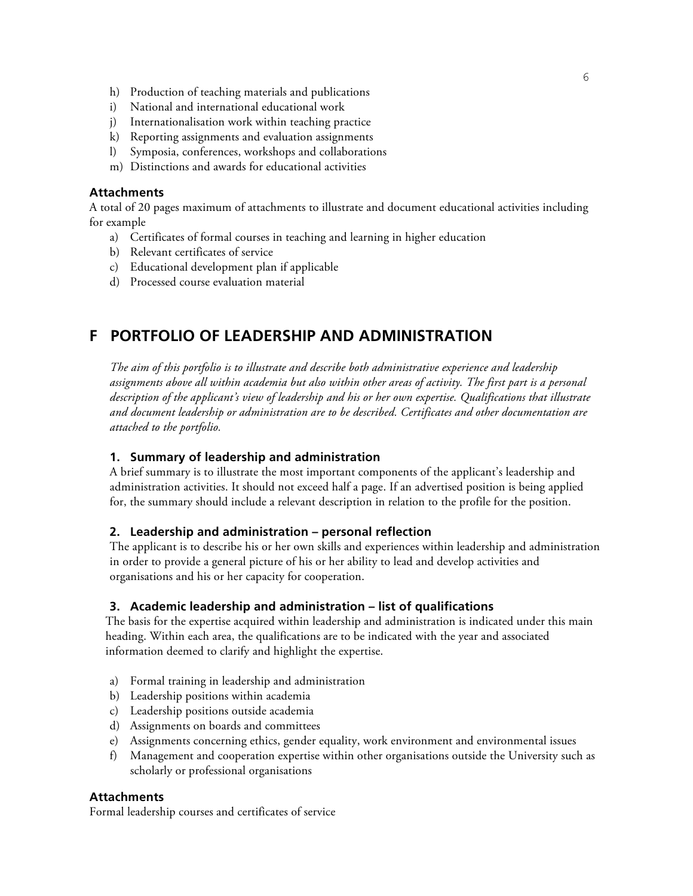- h) Production of teaching materials and publications
- i) National and international educational work
- j) Internationalisation work within teaching practice
- k) Reporting assignments and evaluation assignments
- l) Symposia, conferences, workshops and collaborations
- m) Distinctions and awards for educational activities

#### **Attachments**

A total of 20 pages maximum of attachments to illustrate and document educational activities including for example

- a) Certificates of formal courses in teaching and learning in higher education
- b) Relevant certificates of service
- c) Educational development plan if applicable
- d) Processed course evaluation material

# **F PORTFOLIO OF LEADERSHIP AND ADMINISTRATION**

*The aim of this portfolio is to illustrate and describe both administrative experience and leadership assignments above all within academia but also within other areas of activity. The first part is a personal description of the applicant's view of leadership and his or her own expertise. Qualifications that illustrate and document leadership or administration are to be described. Certificates and other documentation are attached to the portfolio.*

### **1. Summary of leadership and administration**

A brief summary is to illustrate the most important components of the applicant's leadership and administration activities. It should not exceed half a page. If an advertised position is being applied for, the summary should include a relevant description in relation to the profile for the position.

### **2. Leadership and administration – personal reflection**

The applicant is to describe his or her own skills and experiences within leadership and administration in order to provide a general picture of his or her ability to lead and develop activities and organisations and his or her capacity for cooperation.

### **3. Academic leadership and administration – list of qualifications**

The basis for the expertise acquired within leadership and administration is indicated under this main heading. Within each area, the qualifications are to be indicated with the year and associated information deemed to clarify and highlight the expertise.

- a) Formal training in leadership and administration
- b) Leadership positions within academia
- c) Leadership positions outside academia
- d) Assignments on boards and committees
- e) Assignments concerning ethics, gender equality, work environment and environmental issues
- f) Management and cooperation expertise within other organisations outside the University such as scholarly or professional organisations

## **Attachments**

Formal leadership courses and certificates of service